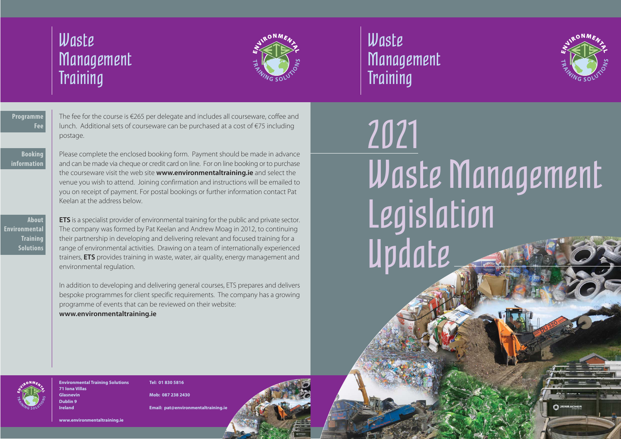Waste **Management Training** 



# 2021 Waste Management Legislation Update

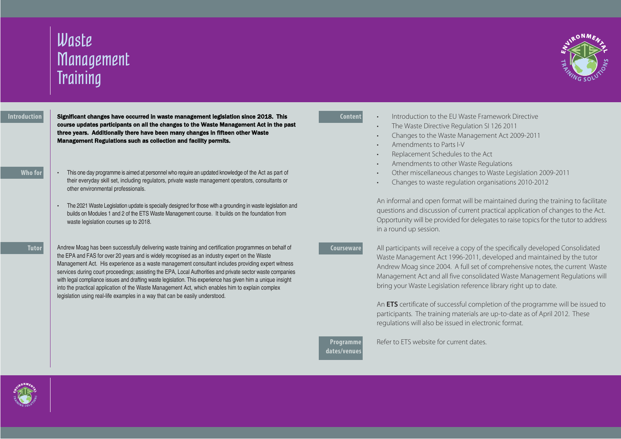# Waste **Management Training**

#### **Introduction**

Significant changes have occurred in waste management legislation since 2018. This course updates participants on all the changes to the Waste Management Act in the past three years. Additionally there have been many changes in fifteen other Waste Management Regulations such as collection and facility permits.

## **Who for**

- This one day programme is aimed at personnel who require an updated knowledge of the Act as part of their everyday skill set, including regulators, private waste management operators, consultants or other environmental professionals.
- The 2021 Waste Legislation update is specially designed for those with a grounding in waste legislation and builds on Modules 1 and 2 of the ETS Waste Management course. It builds on the foundation from waste legislation courses up to 2018.

#### **Tutor**

Andrew Moag has been successfully delivering waste training and certification programmes on behalf of the EPA and FAS for over 20 years and is widely recognised as an industry expert on the Waste Management Act. His experience as a waste management consultant includes providing expert witness services during court proceedings; assisting the EPA, Local Authorities and private sector waste companies with legal compliance issues and drafting waste legislation. This experience has given him a unique insight into the practical application of the Waste Management Act, which enables him to explain complex legislation using real-life examples in a way that can be easily understood.

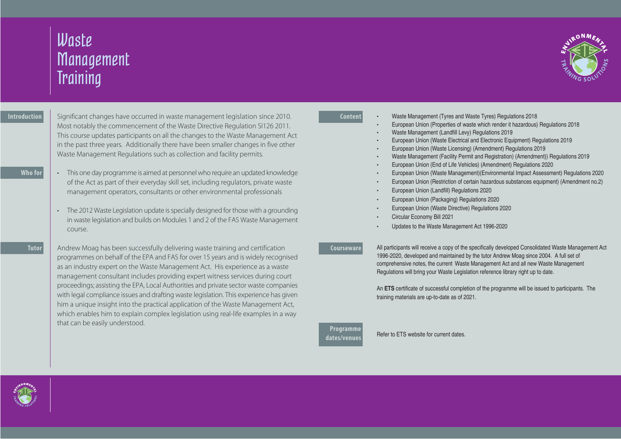

## **Content**

- Waste Management (Tyres and Waste Tyres) Regulations 2018
- European Union (Properties of waste which render it hazardous) Regulations 2018
- Waste Management (Landfill Levy) Regulations 2019
- European Union (Waste Electrical and Electronic Equipment) Regulations 2019
- European Union (Waste Licensing) (Amendment) Regulations 2019
- Waste Management (Facility Permit and Registration) (Amendment)) Regulations 2019
- European Union (End of Life Vehicles) (Amendment) Regulations 2020
- European Union (Waste Management)(Environmental Impact Assessment) Regulations 2020
- European Union (Restriction of certain hazardous substances equipment) (Amendment no.2)
- European Union (Landfill) Regulations 2020
- European Union (Packaging) Regulations 2020
- European Union (Waste Directive) Regulations 2020
- Circular Economy Bill 2021
- Updates to the Waste Management Act 1996-2020

### **Courseware**

All participants will receive a copy of the specifically developed Consolidated Waste Management Act 1996-2020, developed and maintained by the tutor Andrew Moag since 2004. A full set of comprehensive notes, the current Waste Management Act and all new Waste Management Regulations will bring your Waste Legislation reference library right up to date.

An **ETS** certificate of successful completion of the programme will be issued to participants. The training materials are up-to-date as of 2021.

**Programme dates/venues**

Refer to ETS website for current dates.